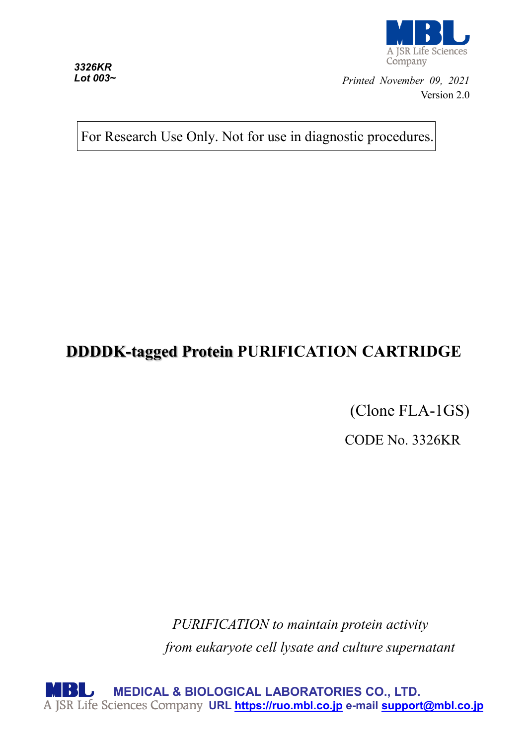

R Life Sciences Company

*Printed November 09, 2021* Version 2.0

For Research Use Only. Not for use in diagnostic procedures.

# **DDDDK-tagged Protein PURIFICATION CARTRIDGE**

(Clone FLA-1GS)

CODE No. 3326KR

*PURIFICATION to maintain protein activity from eukaryote cell lysate and culture supernatant*

**MEDICAL & BIOLOGICAL LABORATORIES CO., LTD. URL [https://ruo.mbl.co.jp](https://ruo.mbl.co.jp/) e-mail [support@mbl.co.jp](mailto:support@mbl.co.jp)**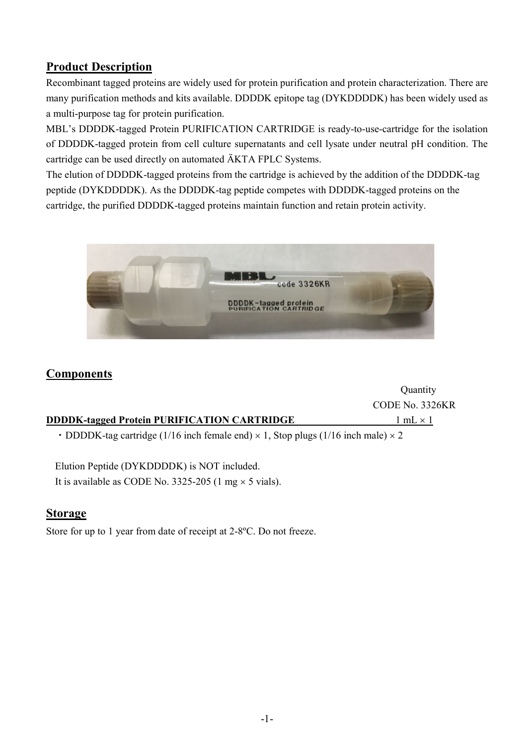## **Product Description**

Recombinant tagged proteins are widely used for protein purification and protein characterization. There are many purification methods and kits available. DDDDK epitope tag (DYKDDDDK) has been widely used as a multi-purpose tag for protein purification.

MBL's DDDDK-tagged Protein PURIFICATION CARTRIDGE is ready-to-use-cartridge for the isolation of DDDDK-tagged protein from cell culture supernatants and cell lysate under neutral pH condition. The cartridge can be used directly on automated ÄKTA FPLC Systems.

The elution of DDDDK-tagged proteins from the cartridge is achieved by the addition of the DDDDK-tag peptide (DYKDDDDK). As the DDDDK-tag peptide competes with DDDDK-tagged proteins on the cartridge, the purified DDDDK-tagged proteins maintain function and retain protein activity.



## **Components**

|                                                                                                 | <b>Quantity</b> |
|-------------------------------------------------------------------------------------------------|-----------------|
|                                                                                                 | CODE No. 3326KR |
| <b>DDDDK-tagged Protein PURIFICATION CARTRIDGE</b>                                              | $1 mL \times 1$ |
| • DDDDK-tag cartridge (1/16 inch female end) $\times$ 1, Stop plugs (1/16 inch male) $\times$ 2 |                 |

Elution Peptide (DYKDDDDK) is NOT included. It is available as CODE No. 3325-205 (1 mg  $\times$  5 vials).

## **Storage**

Store for up to 1 year from date of receipt at 2-8ºC. Do not freeze.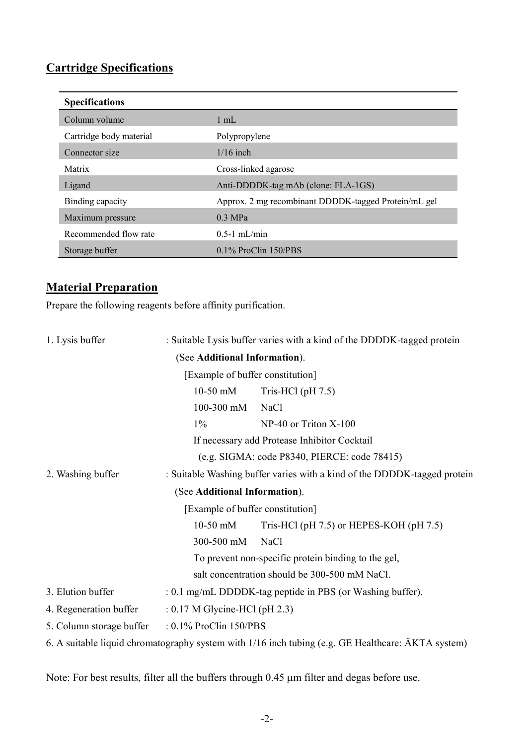## **Cartridge Specifications**

| <b>Specifications</b>   |                                                      |
|-------------------------|------------------------------------------------------|
| Column volume           | $1 \text{ mL}$                                       |
| Cartridge body material | Polypropylene                                        |
| Connector size          | $1/16$ inch                                          |
| Matrix                  | Cross-linked agarose                                 |
| Ligand                  | Anti-DDDDK-tag mAb (clone: FLA-1GS)                  |
| Binding capacity        | Approx. 2 mg recombinant DDDDK-tagged Protein/mL gel |
| Maximum pressure        | $0.3$ MPa                                            |
| Recommended flow rate   | $0.5-1$ mL/min                                       |
| Storage buffer          | $0.1\%$ ProClin $150/PBS$                            |

## **Material Preparation**

Prepare the following reagents before affinity purification.

| 1. Lysis buffer          |                                                                          | : Suitable Lysis buffer varies with a kind of the DDDDK-tagged protein                             |
|--------------------------|--------------------------------------------------------------------------|----------------------------------------------------------------------------------------------------|
|                          | (See Additional Information).                                            |                                                                                                    |
|                          | [Example of buffer constitution]                                         |                                                                                                    |
|                          | $10-50$ mM                                                               | Tris-HCl $(\text{pH } 7.5)$                                                                        |
|                          | $100 - 300$ mM                                                           | <b>NaCl</b>                                                                                        |
|                          | $1\%$                                                                    | $NP-40$ or Triton $X-100$                                                                          |
|                          |                                                                          | If necessary add Protease Inhibitor Cocktail                                                       |
|                          |                                                                          | (e.g. SIGMA: code P8340, PIERCE: code 78415)                                                       |
| 2. Washing buffer        | : Suitable Washing buffer varies with a kind of the DDDDK-tagged protein |                                                                                                    |
|                          | (See Additional Information).                                            |                                                                                                    |
|                          | [Example of buffer constitution]                                         |                                                                                                    |
|                          | $10-50$ mM                                                               | Tris-HCl (pH $7.5$ ) or HEPES-KOH (pH $7.5$ )                                                      |
|                          | 300-500 mM                                                               | <b>NaCl</b>                                                                                        |
|                          |                                                                          | To prevent non-specific protein binding to the gel,                                                |
|                          |                                                                          | salt concentration should be 300-500 mM NaCl.                                                      |
| 3. Elution buffer        |                                                                          | : 0.1 mg/mL DDDDK-tag peptide in PBS (or Washing buffer).                                          |
| 4. Regeneration buffer   | $: 0.17$ M Glycine-HCl (pH 2.3)                                          |                                                                                                    |
| 5. Column storage buffer | : 0.1% ProClin 150/PBS                                                   |                                                                                                    |
|                          |                                                                          | 6. A suitable liquid chromatography system with 1/16 inch tubing (e.g. GE Healthcare: ÄKTA system) |

Note: For best results, filter all the buffers through 0.45 µm filter and degas before use.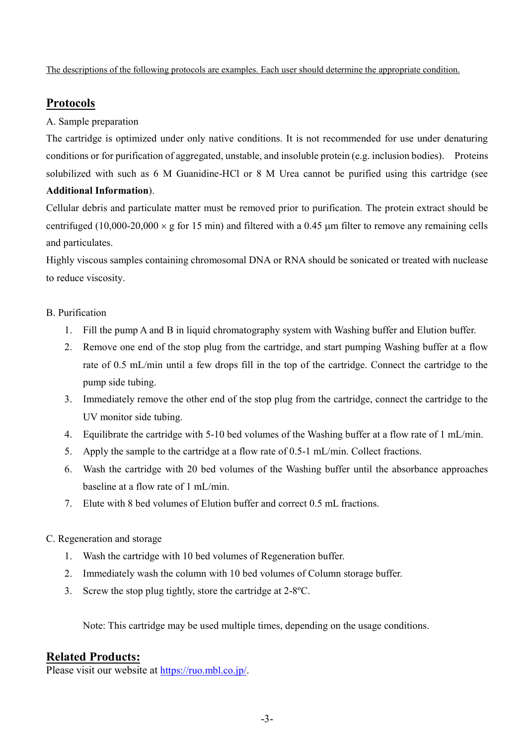The descriptions of the following protocols are examples. Each user should determine the appropriate condition.

## **Protocols**

#### A. Sample preparation

The cartridge is optimized under only native conditions. It is not recommended for use under denaturing conditions or for purification of aggregated, unstable, and insoluble protein (e.g. inclusion bodies). Proteins solubilized with such as 6 M Guanidine-HCl or 8 M Urea cannot be purified using this cartridge (see **Additional Information**).

Cellular debris and particulate matter must be removed prior to purification. The protein extract should be centrifuged (10,000-20,000  $\times$  g for 15 min) and filtered with a 0.45 µm filter to remove any remaining cells and particulates.

Highly viscous samples containing chromosomal DNA or RNA should be sonicated or treated with nuclease to reduce viscosity.

#### B. Purification

- 1. Fill the pump A and B in liquid chromatography system with Washing buffer and Elution buffer.
- 2. Remove one end of the stop plug from the cartridge, and start pumping Washing buffer at a flow rate of 0.5 mL/min until a few drops fill in the top of the cartridge. Connect the cartridge to the pump side tubing.
- 3. Immediately remove the other end of the stop plug from the cartridge, connect the cartridge to the UV monitor side tubing.
- 4. Equilibrate the cartridge with 5-10 bed volumes of the Washing buffer at a flow rate of 1 mL/min.
- 5. Apply the sample to the cartridge at a flow rate of 0.5-1 mL/min. Collect fractions.
- 6. Wash the cartridge with 20 bed volumes of the Washing buffer until the absorbance approaches baseline at a flow rate of 1 mL/min.
- 7. Elute with 8 bed volumes of Elution buffer and correct 0.5 mL fractions.

#### C. Regeneration and storage

- 1. Wash the cartridge with 10 bed volumes of Regeneration buffer.
- 2. Immediately wash the column with 10 bed volumes of Column storage buffer.
- 3. Screw the stop plug tightly, store the cartridge at 2-8ºC.

Note: This cartridge may be used multiple times, depending on the usage conditions.

### **Related Products:**

Please visit our website at [https://ruo.mbl.co.jp/.](https://ruo.mbl.co.jp/)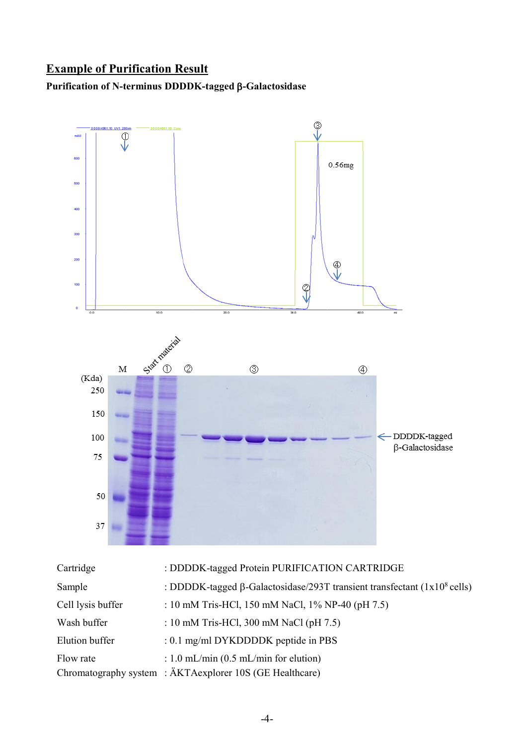## **Example of Purification Result**

## **Purification of N-terminus DDDDK-tagged** β**-Galactosidase**



| Cartridge         | : DDDDK-tagged Protein PURIFICATION CARTRIDGE                                               |
|-------------------|---------------------------------------------------------------------------------------------|
| Sample            | : DDDDK-tagged $\beta$ -Galactosidase/293T transient transfectant (1x10 <sup>8</sup> cells) |
| Cell lysis buffer | : 10 mM Tris-HCl, 150 mM NaCl, 1% NP-40 (pH 7.5)                                            |
| Wash buffer       | : 10 mM Tris-HCl, 300 mM NaCl (pH $7.5$ )                                                   |
| Elution buffer    | : 0.1 mg/ml DYKDDDDK peptide in PBS                                                         |
| Flow rate         | : 1.0 mL/min $(0.5$ mL/min for elution)                                                     |
|                   | Chromatography system : ÄKTAexplorer 10S (GE Healthcare)                                    |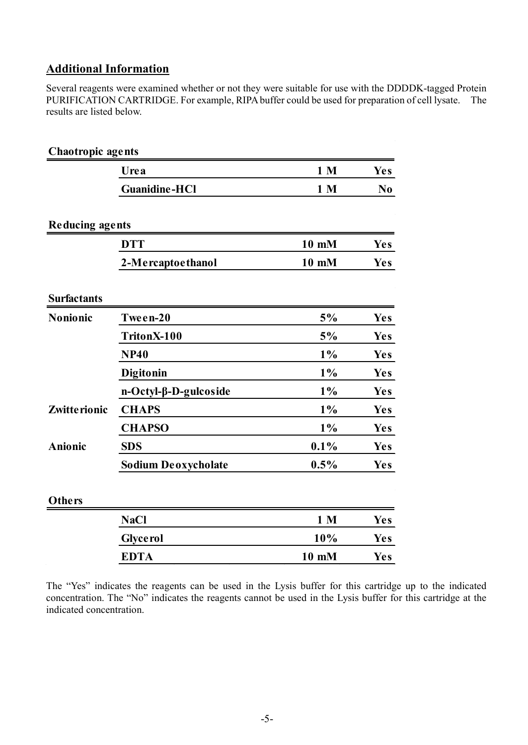## **Additional Information**

Several reagents were examined whether or not they were suitable for use with the DDDDK-tagged Protein PURIFICATION CARTRIDGE. For example, RIPA buffer could be used for preparation of cell lysate. The results are listed below.

| <b>Chaotropic agents</b> |                            |                |                |
|--------------------------|----------------------------|----------------|----------------|
|                          | Urea                       | 1 <sub>M</sub> | <b>Yes</b>     |
|                          | <b>Guanidine-HCl</b>       | 1 <sub>M</sub> | N <sub>0</sub> |
| <b>Reducing agents</b>   |                            |                |                |
|                          | <b>DTT</b>                 | 10 mM          | <b>Yes</b>     |
|                          | 2-Mercaptoethanol          | 10 mM          | <b>Yes</b>     |
| <b>Surfactants</b>       |                            |                |                |
| Nonionic                 | Tween-20                   | 5%             | <b>Yes</b>     |
|                          | TritonX-100                | 5%             | <b>Yes</b>     |
|                          | <b>NP40</b>                | $1\%$          | <b>Yes</b>     |
|                          | Digitonin                  | $1\%$          | <b>Yes</b>     |
|                          | n-Octyl-β-D-gulcoside      | 1%             | <b>Yes</b>     |
| Zwitte rionic            | <b>CHAPS</b>               | $1\%$          | <b>Yes</b>     |
|                          | <b>CHAPSO</b>              | $1\%$          | <b>Yes</b>     |
| <b>Anionic</b>           | <b>SDS</b>                 | 0.1%           | <b>Yes</b>     |
|                          | <b>Sodium Deoxycholate</b> | 0.5%           | <b>Yes</b>     |
| <b>Others</b>            |                            |                |                |
|                          | <b>NaCl</b>                | 1 <sub>M</sub> | <b>Yes</b>     |
|                          | <b>Glyce rol</b>           | 10%            | <b>Yes</b>     |
|                          | <b>EDTA</b>                | 10 mM          | <b>Yes</b>     |
|                          |                            |                |                |

The "Yes" indicates the reagents can be used in the Lysis buffer for this cartridge up to the indicated concentration. The "No" indicates the reagents cannot be used in the Lysis buffer for this cartridge at the indicated concentration.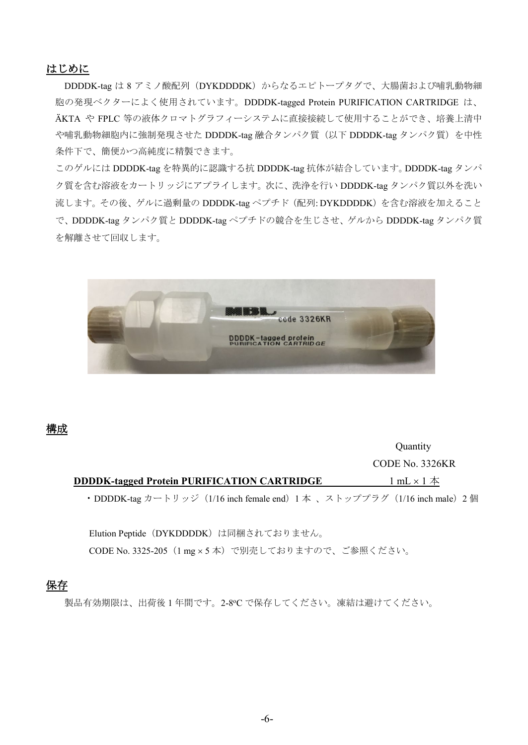#### はじめに

DDDDK-tag は 8 アミノ酸配列 (DYKDDDDK) からなるエピトープタグで、大腸菌および哺乳動物細 胞の発現ベクターによく使用されています。DDDDK-tagged Protein PURIFICATION CARTRIDGE は、 ÄKTA や FPLC 等の液体クロマトグラフィーシステムに直接接続して使用することができ、培養上清中 や哺乳動物細胞内に強制発現させた DDDDK-tag 融合タンパク質(以下 DDDDK-tag タンパク質)を中性 条件下で、簡便かつ高純度に精製できます。

このゲルには DDDDK-tag を特異的に認識する抗 DDDDK-tag 抗体が結合しています。DDDDK-tag タンパ ク質を含む溶液をカートリッジにアプライします。次に、洗浄を行い DDDDK-tag タンパク質以外を洗い 流します。その後、ゲルに過剰量の DDDDK-tag ペプチド (配列: DYKDDDDK)を含む溶液を加えること で、DDDDK-tag タンパク質と DDDDK-tag ペプチドの競合を生じさせ、ゲルから DDDDK-tag タンパク質 を解離させて回収します。



#### 構成

**Quantity** CODE No. 3326KR **DDDDK-tagged Protein PURIFICATION CARTRIDGE** 1 mL × 1 本 • DDDDK-tag カートリッジ (1/16 inch female end) 1 本 、ストッププラグ (1/16 inch male) 2 個

Elution Peptide (DYKDDDDK)は同梱されておりません。 CODE No. 3325-205(1 mg × 5 本)で別売しておりますので、ご参照ください。

### 保存

製品有効期限は、出荷後1年間です。2-8℃で保存してください。凍結は避けてください。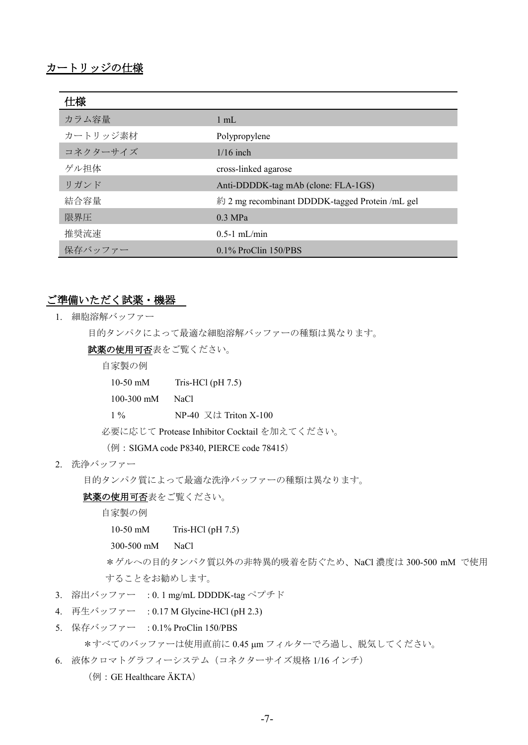| 仕様       |                                                 |
|----------|-------------------------------------------------|
| カラム容量    | $1 \text{ mL}$                                  |
| カートリッジ素材 | Polypropylene                                   |
| コネクターサイズ | $1/16$ inch                                     |
| ゲル担体     | cross-linked agarose                            |
| リガンド     | Anti-DDDDK-tag mAb (clone: FLA-1GS)             |
| 結合容量     | 約 2 mg recombinant DDDDK-tagged Protein /mL gel |
| 限界圧      | $0.3 \text{ MPa}$                               |
| 推奨流速     | $0.5-1$ mL/min                                  |
| 保存バッファー  | $0.1\%$ ProClin $150/PBS$                       |

#### ご準備いただく試薬・機器

1. 細胞溶解バッファー

目的タンパクによって最適な細胞溶解バッファーの種類は異なります。

試薬の使用可否表をご覧ください。

自家製の例

10-50 mM Tris-HCl (pH 7.5)

100-300 mM NaCl

1 % NP-40 又は Triton X-100

必要に応じて Protease Inhibitor Cocktail を加えてください。

(例: SIGMA code P8340, PIERCE code 78415)

2. 洗浄バッファー

目的タンパク質によって最適な洗浄バッファーの種類は異なります。

#### 試薬の使用可否表をご覧ください。

自家製の例

10-50 mM Tris-HCl (pH 7.5)

300-500 mM NaCl

\*ゲルへの目的タンパク質以外の非特異的吸着を防ぐため、NaCl 濃度は 300-500 mM で使用 することをお勧めします。

- 3. 溶出バッファー : 0. 1 mg/mL DDDDK-tag ペプチド
- 4. 再生バッファー : 0.17 M Glycine-HCl (pH 2.3)
- 5. 保存バッファー : 0.1% ProClin 150/PBS

\*すべてのバッファーは使用直前に 0.45 µm フィルターでろ過し、脱気してください。

6. 液体クロマトグラフィーシステム(コネクターサイズ規格 1/16 インチ)

(例:GE Healthcare ÄKTA)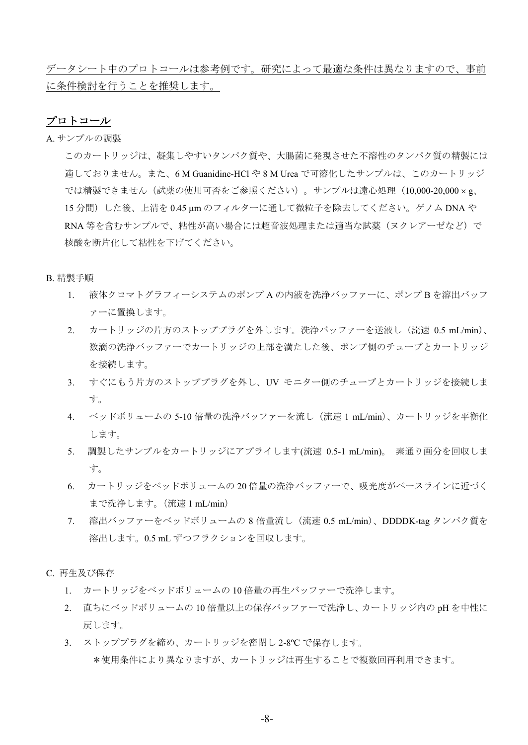データシート中のプロトコールは参考例です。研究によって最適な条件は異なりますので、事前 に条件検討を行うことを推奨します。

#### プロトコール

A. サンプルの調製

このカートリッジは、凝集しやすいタンパク質や、大腸菌に発現させた不溶性のタンパク質の精製には 適しておりません。また、6 M Guanidine-HCl や 8 M Urea で可溶化したサンプルは、このカートリッジ では精製できません(試薬の使用可否をご参照ください)。サンプルは遠心処理(10,000-20,000 × g、 15 分間)した後、上清を 0.45 µm のフィルターに通して微粒子を除去してください。ゲノム DNA や RNA 等を含むサンプルで、粘性が高い場合には超音波処理または適当な試薬(ヌクレアーゼなど)で 核酸を断片化して粘性を下げてください。

#### B. 精製手順

- 1. 液体クロマトグラフィーシステムのポンプ A の内液を洗浄バッファーに、ポンプ B を溶出バッフ ァーに置換します。
- 2. カートリッジの片方のストッププラグを外します。洗浄バッファーを送液し(流速 0.5 mL/min)、 数滴の洗浄バッファーでカートリッジの上部を満たした後、ポンプ側のチューブとカートリッジ を接続します。
- 3. すぐにもう片方のストッププラグを外し、UV モニター側のチューブとカートリッジを接続しま す。
- 4. ベッドボリュームの 5-10 倍量の洗浄バッファーを流し(流速 1 mL/min)、カートリッジを平衡化 します。
- 5. 調製したサンプルをカートリッジにアプライします(流速 0.5-1 mL/min)。 素通り画分を回収しま す。
- 6. カートリッジをベッドボリュームの 20 倍量の洗浄バッファーで、吸光度がベースラインに近づく まで洗浄します。(流速 1 mL/min)
- 7. 溶出バッファーをベッドボリュームの 8 倍量流し(流速 0.5 mL/min)、DDDDK-tag タンパク質を 溶出します。0.5 mL ずつフラクションを回収します。

C. 再生及び保存

- 1. カートリッジをベッドボリュームの 10 倍量の再生バッファーで洗浄します。
- 2. 直ちにベッドボリュームの 10 倍量以上の保存バッファーで洗浄し、カートリッジ内の pH を中性に 戻します。
- 3. ストッププラグを締め、カートリッジを密閉し 2-8℃ で保存します。 \*使用条件により異なりますが、カートリッジは再生することで複数回再利用できます。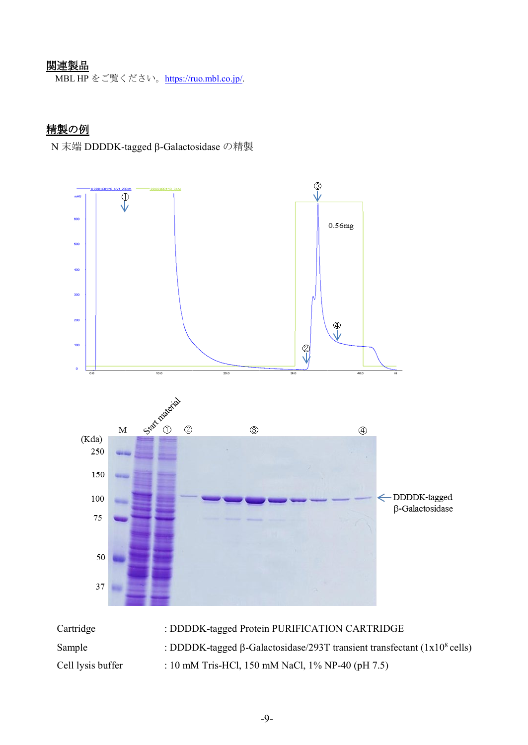## 関連製品

MBL HP をご覧ください。[https://ruo.mbl.co.jp/.](https://ruo.mbl.co.jp/)

## 精製の例

N 末端 DDDDK-tagged β-Galactosidase の精製



| Cartridge         | : DDDDK-tagged Protein PURIFICATION CARTRIDGE                                               |
|-------------------|---------------------------------------------------------------------------------------------|
| Sample            | : DDDDK-tagged $\beta$ -Galactosidase/293T transient transfectant (1x10 <sup>8</sup> cells) |
| Cell lysis buffer | : 10 mM Tris-HCl, 150 mM NaCl, 1% NP-40 (pH 7.5)                                            |